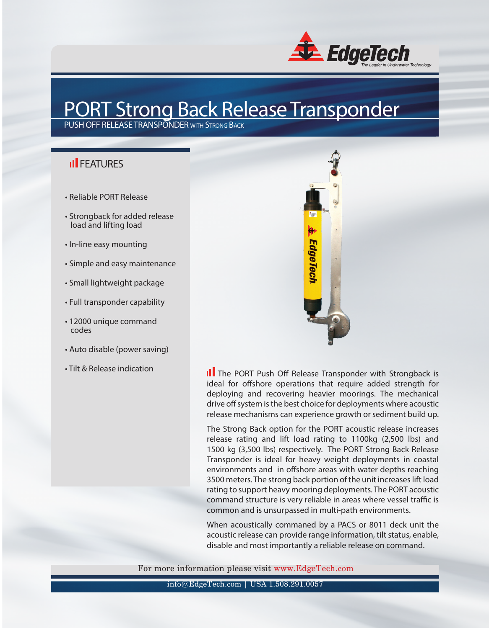

## PORT Strong Back Release Transponder

PUSH OFF RELEASE TRANSPONDER with Strong Back

## **II** FFATURES

- Reliable PORT Release
- Strongback for added release load and lifting load
- In-line easy mounting
- Simple and easy maintenance
- Small lightweight package
- Full transponder capability
- 12000 unique command codes
- Auto disable (power saving)
- Tilt & Release indication



III The PORT Push Off Release Transponder with Strongback is ideal for offshore operations that require added strength for deploying and recovering heavier moorings. The mechanical drive off system is the best choice for deployments where acoustic release mechanisms can experience growth or sediment build up.

The Strong Back option for the PORT acoustic release increases release rating and lift load rating to 1100kg (2,500 lbs) and 1500 kg (3,500 lbs) respectively. The PORT Strong Back Release Transponder is ideal for heavy weight deployments in coastal environments and in offshore areas with water depths reaching 3500 meters. The strong back portion of the unit increases lift load rating to support heavy mooring deployments. The PORT acoustic command structure is very reliable in areas where vessel traffic is common and is unsurpassed in multi-path environments.

When acoustically commaned by a PACS or 8011 deck unit the acoustic release can provide range information, tilt status, enable, disable and most importantly a reliable release on command.

For more information please visit www.EdgeTech.com

info@EdgeTech.com | USA 1.508.291.0057